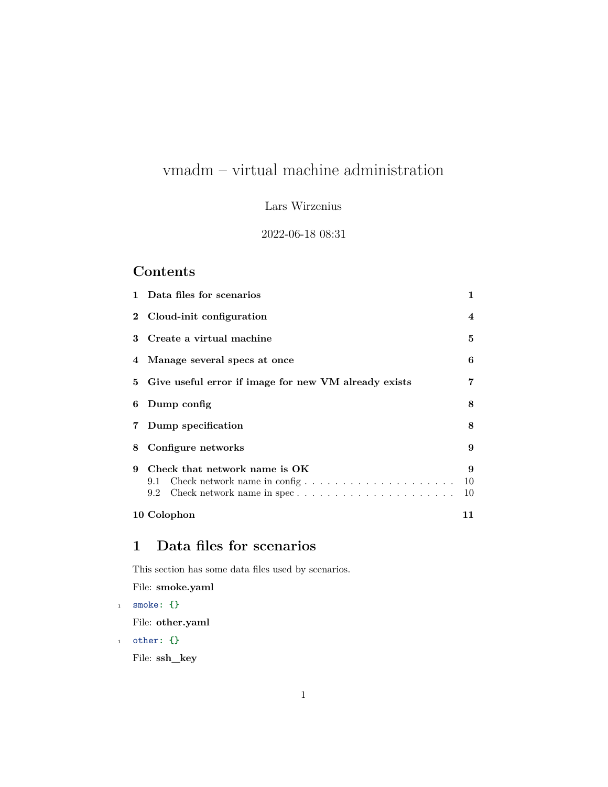# vmadm – virtual machine administration

### Lars Wirzenius

#### 2022-06-18 08:31

### **Contents**

|   | 1 Data files for scenarios                                                  | 1             |
|---|-----------------------------------------------------------------------------|---------------|
|   | 2 Cloud-init configuration                                                  | 4             |
|   | 3 Create a virtual machine                                                  | 5             |
|   | 4 Manage several specs at once                                              | 6             |
|   | 5 Give useful error if image for new VM already exists                      | 7             |
|   | 6 Dump config                                                               | 8             |
|   | 7 Dump specification                                                        | 8             |
|   | 8 Configure networks                                                        | 9             |
| 9 | Check that network name is OK<br>Check network name in config<br>9.1<br>9.2 | 9<br>10<br>10 |
|   | 10 Colophon                                                                 | 11            |

## <span id="page-0-0"></span>**1 Data files for scenarios**

This section has some data files used by scenarios.

File: **smoke.yaml**

<sup>1</sup> smoke**: {}**

File: **other.yaml**

<sup>1</sup> other**: {}**

File: **ssh\_key**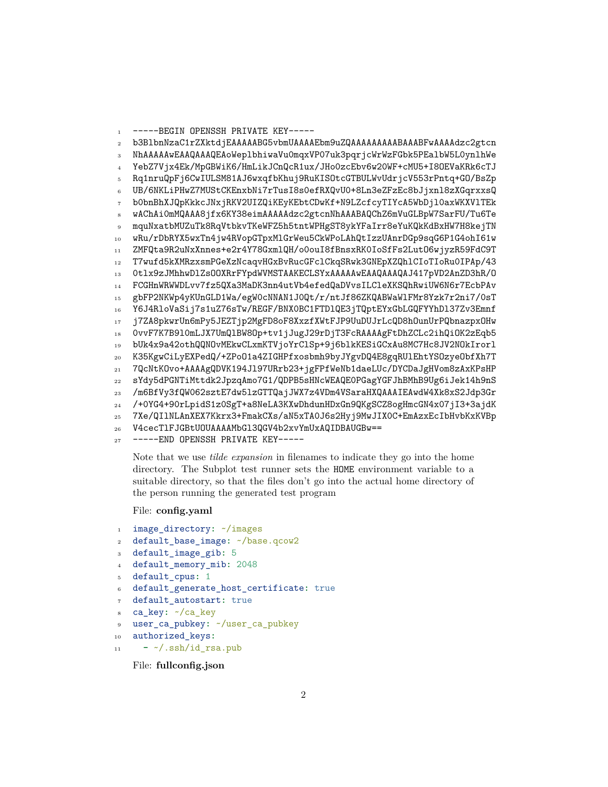```
-----BEGIN OPENSSH PRIVATE KEY-----
\mathbf{1}b3B1bnNzaC1rZXktdjEAAAAABG5vbmUAAAAEbm9uZQAAAAAAAAABAAABFwAAAAdzc2gtcn
\overline{2}NhAAAAAwEAAQAAAQEAoWeplbhiwaVu0mqxVP07uk3pqrjcWrWzFGbk5PEalbW5L0ynlhWe
   YebZ7Vjx4Ek/MpGBWiK6/HmLikJCnQcR1ux/JHoOzcEbv6w20WF+cMU5+I8OEVaKRk6cTJ
   Rg1nruQpFj6CwIULSM81AJ6wxqfbKhuj9RuKISOtcGTBULWvUdrjcV553rPntq+GO/BsZp
\tilde{\kappa}UB/6NKLiPHwZ7MUStCKEnxbNi7rTusI8s0efRXQvU0+8Ln3eZFzEc8bJjxnl8zXGqrxxsQ
   bObnBhXJQpKkkcJNxjRKV2UIZQiKEyKEbtCDwKf+N9LZcfcyTIYcA5WbDj10axWKXV1TEk
   wAChAiOmMQAAA8jfx6KY38eimAAAAAdzc2gtcnNhAAABAQChZ6mVuGLBpW7SarFU/Tu6Te
   mquNxatbMUZuTk8RqVtbkvTKeWFZ5h5tntWPHgST8ykYFaIrr8eYuKQkKdBxHW7H8kejTN
9
   wRu/rDbRYX5wxTn4jw4RVopGTpxMlGrWeu5CkWPoLAhQtIzzUAnrDGp9sqG6P1G4ohI61w
10ZMFQta9R2uNxXnnes+e2r4Y78GxmlQH/oOouI8fBnsxRK0IoSfFs2Lut06wjyzR59FdC9T
11T7wufd5kXMRzxsmPGeXzNcaqvHGxBvRucGFc1CkqSRwk3GNEpXZQh1CIoTIoRu0IPAp/43
12\overline{)}Otlx9zJMhhwDlZsOOXRrFYpdWVMSTAAKECLSYxAAAAAwEAAQAAAQAJ417pVD2AnZD3hR/O
13
   FCGHnWRWWDLvv7fz5QXa3MaDK3nn4utVb4efedQaDVvsILCleXKSQhRwiUW6N6r7EcbPAv
14
   gbFP2NKWp4yKUnGLD1Wa/egW0cNNAN1J0Qt/r/ntJf86ZKQABWaWlFMr8Yzk7r2ni7/0sT
15Y6J4RloVaSij7s1uZ76sTw/REGF/BNX0BC1FTD1QE3jTQptEYxGbLGQFYYhD137Zv3Emnf
16
   j7ZA8pkwrUn6mPy5JEZTjp2MgFD8oF8XxzfXWtFJP9UuDUJrLcQD8h0unUrPQbnazpx0Hw
17OvvF7K7B910mLJX7UmQ1BW80p+tv1jJugJ29rDjT3FcRAAAAgFtDhZCLc2ihQiOK2zEqb5
18
   bUk4x9a42othQQNOvMEkwCLxmKTVjoYrClSp+9j6blkKESiGCxAu8MC7Hc8JV2NOkIrorl
19
   K35KgwCiLyEXPedQ/+ZPoO1a4ZIGHPfxosbmh9byJYgvDQ4E8gqRUlEhtYSOzyeObfXh7T
20
   7QcNtKOvo+AAAAgQDVK194J197URrb23+jgFPfWeNb1daeLUc/DYCDaJgHVom8zAxKPsHP
21sYdv5dPGNTiMttdk2JpzqAmo7G1/QDPB5sHNcWEAQEOPGagYGFJhBMhB9Ug6iJek14h9nS
22/m6BfVy3fQW062sztE7dw51zGTTQajJWX7z4VDm4VSaraHXQAAAIEAwdW4Xk8xS2Jdp3Gr
23
   /+0YG4+90rLpidS1z0SgT+a8NeLA3KXwDhdunHDxGn9QKgSCZ8ogHmcGN4x07jI3+3ajdK
247Xe/QIlNLAnXEX7Kkrx3+FmakCXs/aN5xTA0J6s2Hyj9MwJIXOC+EmAzxEcIbHvbKxKVBp
25V4cecT1FJGBtUOUAAAAMbG13QGV4b2xvYmUxAQIDBAUGBw ==
26
```
-----END OPENSSH PRIVATE KEY-----

Note that we use *tilde expansion* in filenames to indicate they go into the home directory. The Subplot test runner sets the HOME environment variable to a suitable directory, so that the files don't go into the actual home directory of the person running the generated test program

#### File: config.yaml

```
image_directory: ~/images
\mathbf 1
```
default\_base\_image: ~/base.qcow2  $\overline{2}$ 

```
default_image_gib: 5
```

```
default_memory_mib: 2048
```

```
default cpus: 1
```

```
default_generate_host_certificate: true
```

```
default_autostart: true
```

```
ca_key: ~/ca_key
```

```
user_ca_pubkey: ~/user_ca_pubkey
\overline{9}
```

```
authorized keys:
10
```

```
- \sim/.ssh/id rsa.pub
11
```
File: fullconfig.json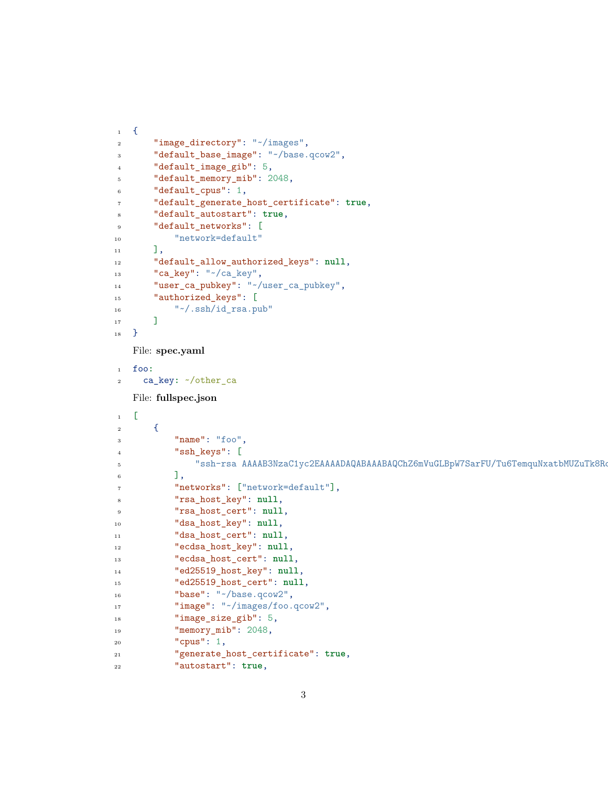```
1 \quad \epsilon2 "image_directory": "~/images",
3 "default_base_image": "~/base.qcow2",
4 "default_image_gib": 5,
5 "default_memory_mib": 2048,
6 "default_cpus": 1,
7 "default_generate_host_certificate": true,
8 "default_autostart": true,
9 "default networks": [
10 "network=default"
\frac{1}{11} ],
12 "default_allow_authorized_keys": null,
13 "ca_key": "~/ca_key",
14 "user ca pubkey": "~/user ca pubkey",
15 "authorized_keys": [
16 "\sim/.ssh/id rsa.pub"
17 ]
18 }
   File: spec.yaml
1 foo:
2 ca_key: ~/other_ca
   File: fullspec.json
1 [
\overline{2} {
3 "name": "foo",
4 "ssh_keys": [
5 "ssh-rsa AAAAB3NzaC1yc2EAAAADAQABAAABAQChZ6mVuGLBpW7SarFU/Tu6TemquNxatbMUZuTk8RqVtbkvTKeWFZ5h5tntWPHgST8ykYFaIrr8eYuKQkKdBxHW7H8kejTNwRu/rDbRYX5wxTn4jw4RVopGTpxMlGrWeu5CkWPoLAhQtIzzUAnrDGp9sqG6P1G4ohI61wZMFQta9R2uNxXnnes+e2r4Y78GxmlQH/o0ouI8fBnsxRK0IoSfFs2LutO6wjyzR59FdC9TT7wufd5kXMRzxsmPGeXzNcaqvHGxBvRucGFclCkqSRwk3GNEpXZQhlCIoTIoRu0IPAp/430tlx9zJMhhwDlZsOOXRrFYpdWVMSTAAKECLSYx liw@exolobe1"
\begin{array}{ccc} 6 & & 1 \end{array}7 "networks": ["network=default"],
8 "rsa_host_key": null,
9 "rsa_host_cert": null,
10 "dsa_host_key": null,
11 "dsa_host_cert": null,
12 "ecdsa_host_key": null,
13 "ecdsa_host_cert": null,
14 "ed25519_host_key": null,
15 "ed25519_host_cert": null,
16 "base": "~/base.qcow2",
17 "image": "~/images/foo.qcow2",
18 "image_size_gib": 5,
19 "memory_mib": 2048,
20 "cpus": 1,
21 "generate_host_certificate": true,
22 "autostart": true,
```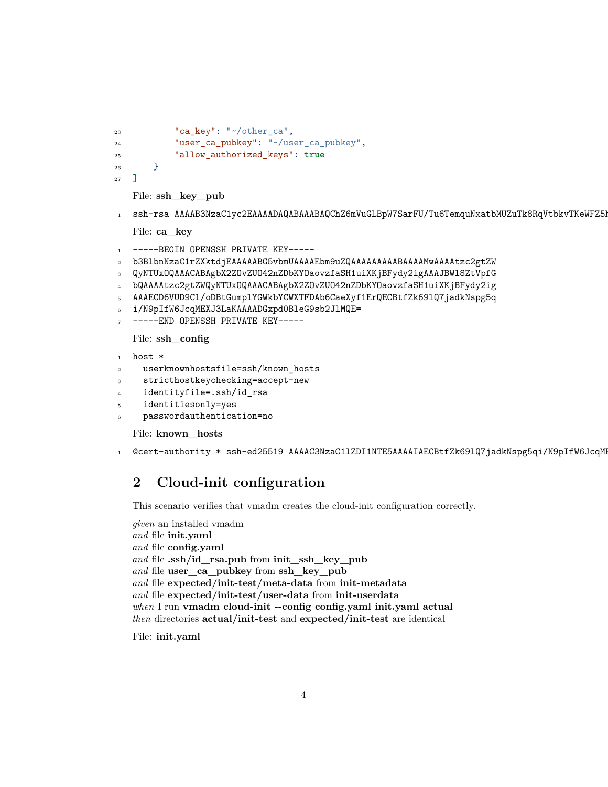```
"ca_key": "~/other_ca",
23
             "user_ca_pubkey": "~/user_ca_pubkey",
24
             "allow_authorized_keys": true
25
         \mathcal{F}26
    ı
27
```
File: ssh\_key\_pub

ssh-rsa AAAAB3NzaC1yc2EAAAADAQABAAABAQChZ6mVuGLBpW7SarFU/Tu6TemquNxatbMUZuTk8RqVtbkvTKeWFZ5I  $\mathbf 1$ 

File: ca key

```
-----BEGIN OPENSSH PRIVATE KEY-----
\mathbf{I}
```

```
b3B1bnNzaC1rZXktdjEAAAAABG5vbmUAAAAEbm9uZQAAAAAAAAABAAAAMwAAAAtzc2gtZW
```
QyNTUxOQAAACABAgbX2ZOvZUO42nZDbKYOaovzfaSH1uiXKjBFydy2igAAAJBW18ZtVpfG  $\overline{\mathbf{3}}$ 

```
bQAAAAtzc2gtZWQyNTUxOQAAACABAgbX2ZOvZUO42nZDbKYOaovzfaSH1uiXKjBFydy2ig
\overline{4}
```

```
AAAECD6VUD9Cl/oDBtGumplYGWkbYCWXTFDAb6CaeXyf1ErQECBtfZk691Q7jadkNspg5q
```

```
i/N9pIfW6JcqMEXJ3LaKAAAADGxpd0BleG9sb2J1MQE=
6
```

```
-----END OPENSSH PRIVATE KEY-----
```
File: ssh\_config

```
host *
\mathbf{1}
```

```
userknownhostsfile=ssh/known_hosts
\ddot{\phantom{0}}
```

```
stricthostkeychecking=accept-new
\overline{a}
```

```
identityfile=.ssh/id_rsa
```

```
identitiesonly=yes
\overline{5}
```

```
passwordauthentication=no
```
File: known\_hosts

```
@cert-authority * ssh-ed25519 AAAAC3NzaC11ZDI1NTE5AAAAIAECBtfZk691Q7jadkNspg5qi/N9pIfW6JcqM
\mathbf{1}
```
#### <span id="page-3-0"></span>Cloud-init configuration  $\overline{2}$

This scenario verifies that vmadm creates the cloud-init configuration correctly.

```
given an installed vmadm
and file init.yaml
and file config.yaml
and file .ssh/id_rsa.pub from init_ssh_key_pub
and file user_ca_pubkey from ssh_key_pub
and file expected/init-test/meta-data from init-metadata
and file expected/init-test/user-data from init-userdata
when I run vmadm cloud-init --config config.yaml init.yaml actual
then directories actual/init-test and expected/init-test are identical
```
File: init.yaml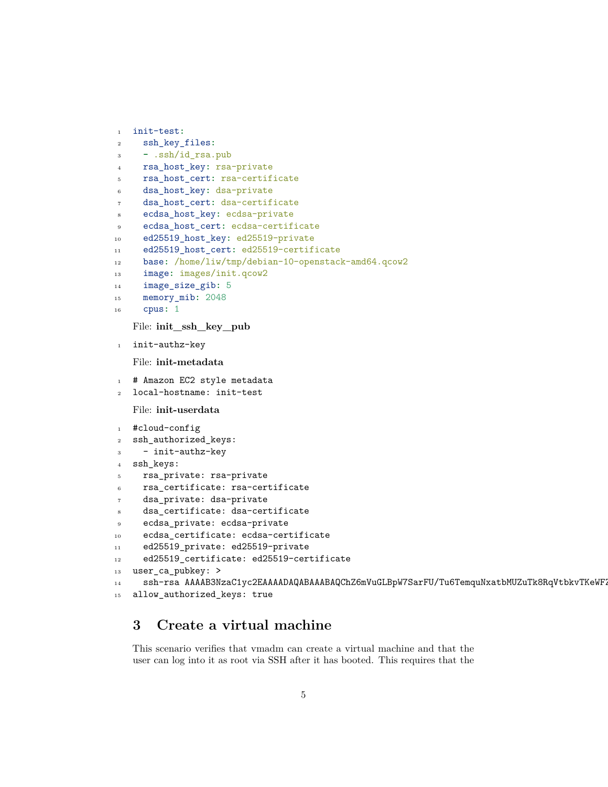```
1 init-test:
2 ssh_key_files:
3 - .ssh/id_rsa.pub
4 rsa_host_key: rsa-private
5 rsa_host_cert: rsa-certificate
6 dsa_host_key: dsa-private
7 dsa_host_cert: dsa-certificate
8 ecdsa_host_key: ecdsa-private
9 ecdsa_host_cert: ecdsa-certificate
10 ed25519_host_key: ed25519-private
11 ed25519_host_cert: ed25519-certificate
12 base: /home/liw/tmp/debian-10-openstack-amd64.qcow2
13 image: images/init.qcow2
14 image_size_gib: 5
15 memory_mib: 2048
16 cpus: 1
   File: init_ssh_key_pub
1 init-authz-key
   File: init-metadata
1 # Amazon EC2 style metadata
2 local-hostname: init-test
   File: init-userdata
1 #cloud-config
2 ssh_authorized_keys:
3 - init-authz-key
4 ssh_keys:
5 rsa_private: rsa-private
6 rsa_certificate: rsa-certificate
7 dsa_private: dsa-private
8 dsa_certificate: dsa-certificate
9 ecdsa_private: ecdsa-private
10 ecdsa_certificate: ecdsa-certificate
11 ed25519_private: ed25519-private
12 ed25519_certificate: ed25519-certificate
13 user_ca_pubkey: >
14 ssh-rsa AAAAB3NzaC1yc2EAAAADAQABAAABAQChZ6mVuGLBpW7SarFU/Tu6TemquNxatbMUZuTk8RqVtbkvTKeWF
```

```
15 allow_authorized_keys: true
```
### <span id="page-4-0"></span>**3 Create a virtual machine**

This scenario verifies that vmadm can create a virtual machine and that the user can log into it as root via SSH after it has booted. This requires that the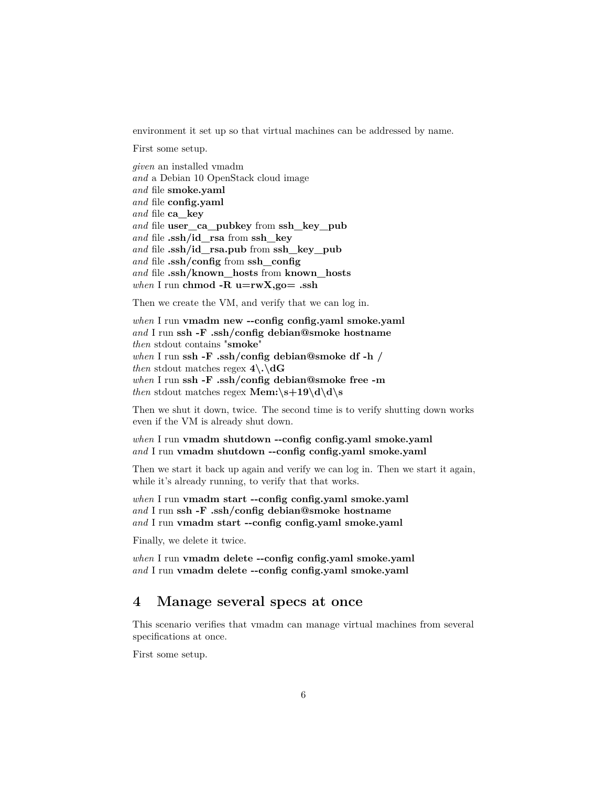environment it set up so that virtual machines can be addressed by name.

First some setup.

*given* an installed vmadm *and* a Debian 10 OpenStack cloud image *and* file **smoke.yaml** *and* file **config.yaml** *and* file **ca\_key** *and* file **user\_ca\_pubkey** from **ssh\_key\_pub** *and* file **.ssh/id\_rsa** from **ssh\_key** *and* file **.ssh/id\_rsa.pub** from **ssh\_key\_pub** *and* file **.ssh/config** from **ssh\_config** *and* file **.ssh/known\_hosts** from **known\_hosts** *when* I run **chmod -R u=rwX,go= .ssh**

Then we create the VM, and verify that we can log in.

*when* I run **vmadm new --config config.yaml smoke.yaml** *and* I run **ssh -F .ssh/config debian@smoke hostname** *then* stdout contains "**smoke**" *when* I run **ssh -F .ssh/config debian@smoke df -h /** *then* stdout matches regex  $4\.\mathrm{dG}$ *when* I run **ssh -F .ssh/config debian@smoke free -m** *then* stdout matches regex **Mem:** $\s + 19\d \d$ s

Then we shut it down, twice. The second time is to verify shutting down works even if the VM is already shut down.

*when* I run **vmadm shutdown --config config.yaml smoke.yaml** *and* I run **vmadm shutdown --config config.yaml smoke.yaml**

Then we start it back up again and verify we can log in. Then we start it again, while it's already running, to verify that that works.

*when* I run **vmadm start --config config.yaml smoke.yaml** *and* I run **ssh -F .ssh/config debian@smoke hostname** *and* I run **vmadm start --config config.yaml smoke.yaml**

Finally, we delete it twice.

*when* I run **vmadm delete --config config.yaml smoke.yaml** *and* I run **vmadm delete --config config.yaml smoke.yaml**

### <span id="page-5-0"></span>**4 Manage several specs at once**

This scenario verifies that vmadm can manage virtual machines from several specifications at once.

First some setup.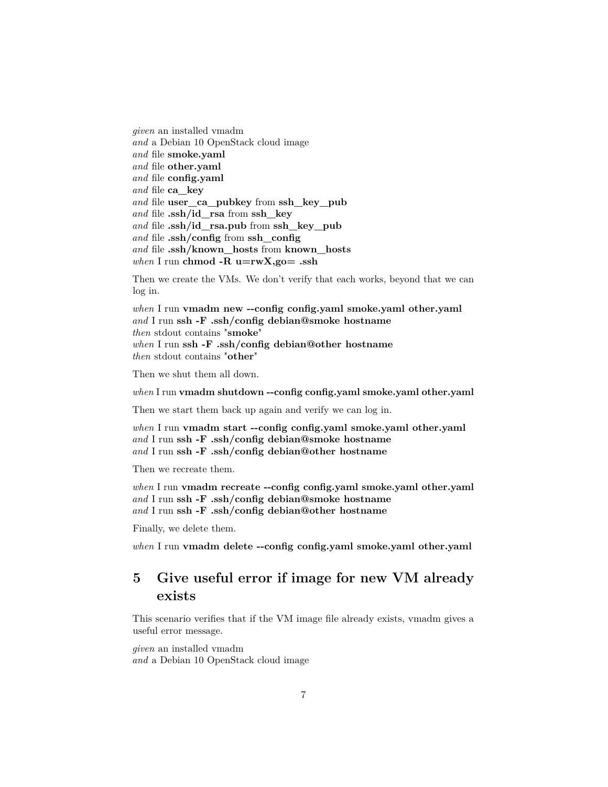*given* an installed vmadm *and* a Debian 10 OpenStack cloud image *and* file **smoke.yaml** *and* file **other.yaml** *and* file **config.yaml** *and* file **ca\_key** *and* file **user\_ca\_pubkey** from **ssh\_key\_pub** *and* file **.ssh/id\_rsa** from **ssh\_key** *and* file **.ssh/id\_rsa.pub** from **ssh\_key\_pub** *and* file **.ssh/config** from **ssh\_config** *and* file **.ssh/known\_hosts** from **known\_hosts** *when* I run **chmod -R u=rwX,go= .ssh**

Then we create the VMs. We don't verify that each works, beyond that we can log in.

*when* I run **vmadm new --config config.yaml smoke.yaml other.yaml** *and* I run **ssh -F .ssh/config debian@smoke hostname** *then* stdout contains "**smoke**" *when* I run **ssh -F .ssh/config debian@other hostname** *then* stdout contains "**other**"

Then we shut them all down.

*when* I run **vmadm shutdown --config config.yaml smoke.yaml other.yaml**

Then we start them back up again and verify we can log in.

*when* I run **vmadm start --config config.yaml smoke.yaml other.yaml** *and* I run **ssh -F .ssh/config debian@smoke hostname** *and* I run **ssh -F .ssh/config debian@other hostname**

Then we recreate them.

*when* I run **vmadm recreate --config config.yaml smoke.yaml other.yaml** *and* I run **ssh -F .ssh/config debian@smoke hostname** *and* I run **ssh -F .ssh/config debian@other hostname**

Finally, we delete them.

*when* I run **vmadm delete --config config.yaml smoke.yaml other.yaml**

### <span id="page-6-0"></span>**5 Give useful error if image for new VM already exists**

This scenario verifies that if the VM image file already exists, vmadm gives a useful error message.

*given* an installed vmadm *and* a Debian 10 OpenStack cloud image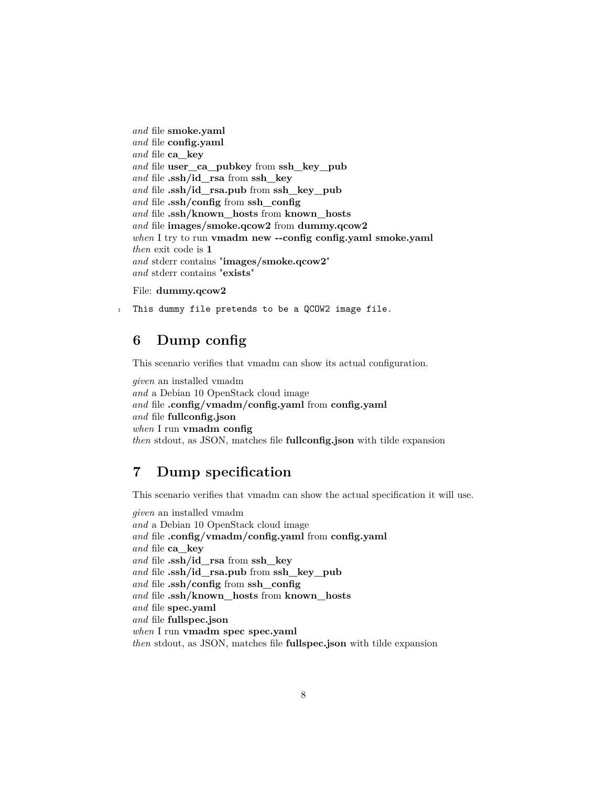*and* file **smoke.yaml** *and* file **config.yaml** *and* file **ca\_key** *and* file **user\_ca\_pubkey** from **ssh\_key\_pub** *and* file **.ssh/id\_rsa** from **ssh\_key** *and* file **.ssh/id\_rsa.pub** from **ssh\_key\_pub** *and* file **.ssh/config** from **ssh\_config** *and* file **.ssh/known\_hosts** from **known\_hosts** *and* file **images/smoke.qcow2** from **dummy.qcow2** *when* I try to run **vmadm new --config config.yaml smoke.yaml** *then* exit code is **1** *and* stderr contains "**images/smoke.qcow2**" *and* stderr contains "**exists**"

#### File: **dummy.qcow2**

1 This dummy file pretends to be a QCOW2 image file.

### <span id="page-7-0"></span>**6 Dump config**

This scenario verifies that vmadm can show its actual configuration.

*given* an installed vmadm *and* a Debian 10 OpenStack cloud image *and* file **.config/vmadm/config.yaml** from **config.yaml** *and* file **fullconfig.json** *when* I run **vmadm config** *then* stdout, as JSON, matches file **fullconfig.json** with tilde expansion

### <span id="page-7-1"></span>**7 Dump specification**

This scenario verifies that vmadm can show the actual specification it will use.

*given* an installed vmadm *and* a Debian 10 OpenStack cloud image *and* file **.config/vmadm/config.yaml** from **config.yaml** *and* file **ca\_key** *and* file **.ssh/id\_rsa** from **ssh\_key** *and* file **.ssh/id\_rsa.pub** from **ssh\_key\_pub** *and* file **.ssh/config** from **ssh\_config** *and* file **.ssh/known\_hosts** from **known\_hosts** *and* file **spec.yaml** *and* file **fullspec.json** *when* I run **vmadm spec spec.yaml** *then* stdout, as JSON, matches file **fullspec.json** with tilde expansion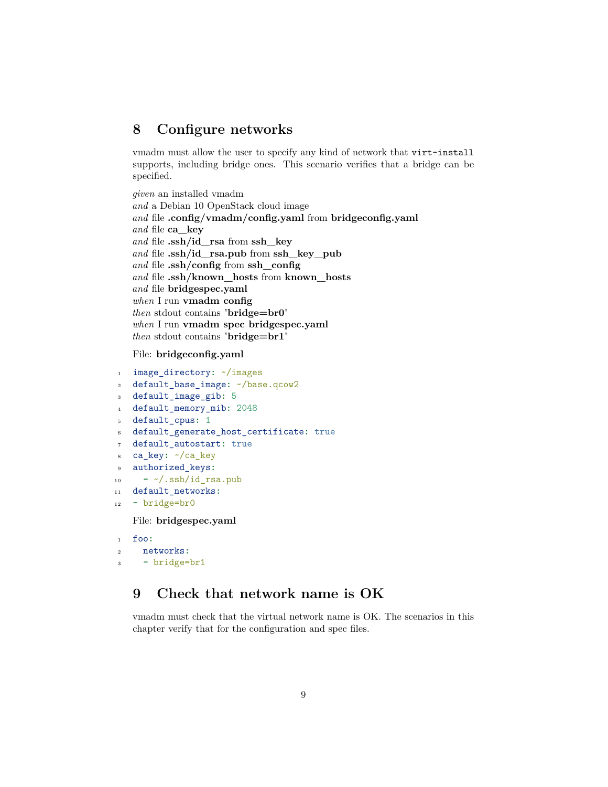### <span id="page-8-0"></span>**8 Configure networks**

vmadm must allow the user to specify any kind of network that virt-install supports, including bridge ones. This scenario verifies that a bridge can be specified.

*given* an installed vmadm *and* a Debian 10 OpenStack cloud image *and* file **.config/vmadm/config.yaml** from **bridgeconfig.yaml** *and* file **ca\_key** *and* file **.ssh/id\_rsa** from **ssh\_key** *and* file **.ssh/id\_rsa.pub** from **ssh\_key\_pub** *and* file **.ssh/config** from **ssh\_config** *and* file **.ssh/known\_hosts** from **known\_hosts** *and* file **bridgespec.yaml** *when* I run **vmadm config** *then* stdout contains "**bridge=br0**" *when* I run **vmadm spec bridgespec.yaml** *then* stdout contains "**bridge=br1**"

File: **bridgeconfig.yaml**

```
1 image_directory: ~/images
2 default_base_image: ~/base.qcow2
3 default_image_gib: 5
4 default_memory_mib: 2048
5 default_cpus: 1
6 default_generate_host_certificate: true
7 default_autostart: true
8 ca_key: ~/ca_key
9 authorized_keys:
10 - ~/.ssh/id_rsa.pub
11 default_networks:
```
<sup>12</sup> **-** bridge=br0

File: **bridgespec.yaml**

```
1 foo:
2 networks:
3 - bridge=br1
```
### <span id="page-8-1"></span>**9 Check that network name is OK**

vmadm must check that the virtual network name is OK. The scenarios in this chapter verify that for the configuration and spec files.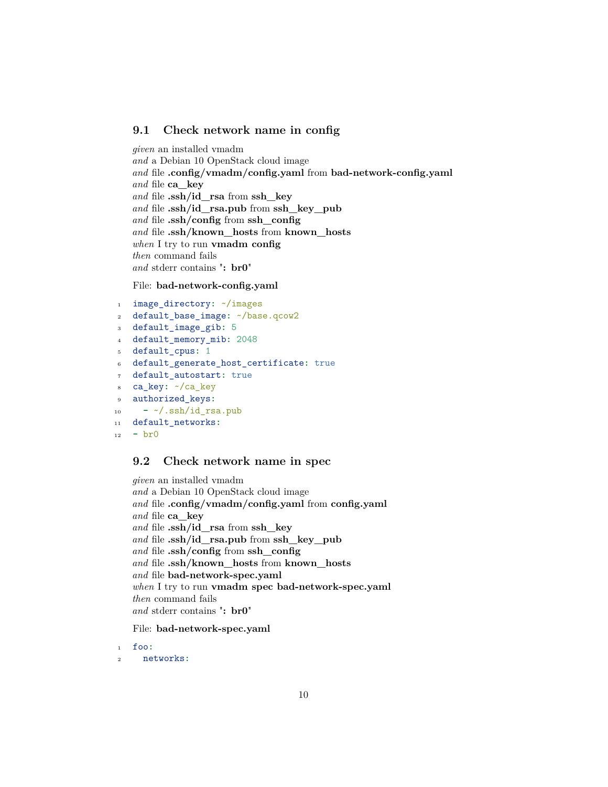#### <span id="page-9-0"></span>**9.1 Check network name in config**

*given* an installed vmadm *and* a Debian 10 OpenStack cloud image *and* file **.config/vmadm/config.yaml** from **bad-network-config.yaml** *and* file **ca\_key** *and* file **.ssh/id\_rsa** from **ssh\_key** *and* file **.ssh/id\_rsa.pub** from **ssh\_key\_pub** *and* file **.ssh/config** from **ssh\_config** *and* file **.ssh/known\_hosts** from **known\_hosts** *when* I try to run **vmadm config** *then* command fails *and* stderr contains "**: br0**"

#### File: **bad-network-config.yaml**

```
1 image_directory: ~/images
2 default_base_image: ~/base.qcow2
3 default_image_gib: 5
4 default_memory_mib: 2048
5 default cpus: 1
6 default_generate_host_certificate: true
   7 default_autostart: true
   ca_key: ~/ca_key
9 authorized_keys:
10 - ~/.ssh/id_rsa.pub
11 default_networks:
_{12} - _{b}r0
```
#### <span id="page-9-1"></span>**9.2 Check network name in spec**

*given* an installed vmadm *and* a Debian 10 OpenStack cloud image *and* file **.config/vmadm/config.yaml** from **config.yaml** *and* file **ca\_key** *and* file **.ssh/id\_rsa** from **ssh\_key** *and* file **.ssh/id\_rsa.pub** from **ssh\_key\_pub** *and* file **.ssh/config** from **ssh\_config** *and* file **.ssh/known\_hosts** from **known\_hosts** *and* file **bad-network-spec.yaml** *when* I try to run **vmadm spec bad-network-spec.yaml** *then* command fails *and* stderr contains "**: br0**"

File: **bad-network-spec.yaml**

<sup>1</sup> foo**:**

<sup>2</sup> networks**:**